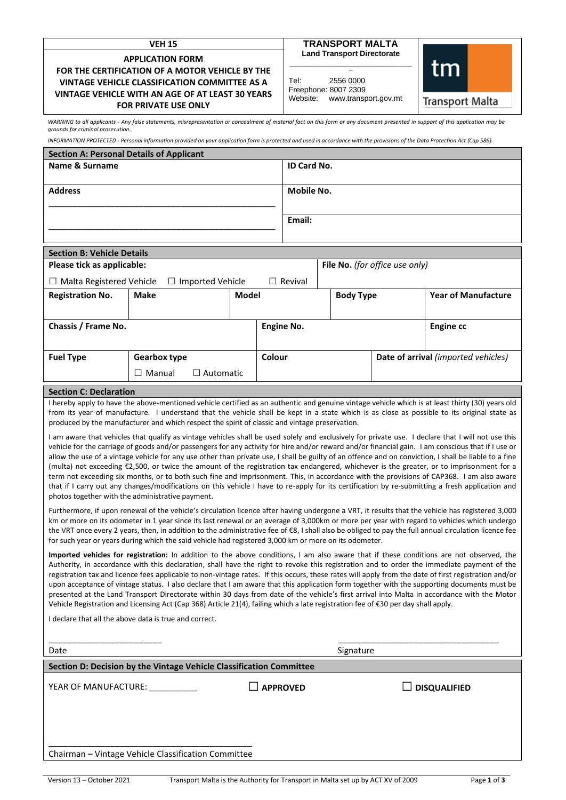| <b>VEH 15</b><br><b>APPLICATION FORM</b><br>FOR THE CERTIFICATION OF A MOTOR VEHICLE BY THE<br>VINTAGE VEHICLE CLASSIFICATION COMMITTEE AS A |                                                                                                                                                                              |       |        |                                                          | <b>TRANSPORT MALTA</b> |  |                                                                                                                                                                                                                                                                                                                                                                                                                                                                                                                                                                                                                                                                                                                                             |
|----------------------------------------------------------------------------------------------------------------------------------------------|------------------------------------------------------------------------------------------------------------------------------------------------------------------------------|-------|--------|----------------------------------------------------------|------------------------|--|---------------------------------------------------------------------------------------------------------------------------------------------------------------------------------------------------------------------------------------------------------------------------------------------------------------------------------------------------------------------------------------------------------------------------------------------------------------------------------------------------------------------------------------------------------------------------------------------------------------------------------------------------------------------------------------------------------------------------------------------|
|                                                                                                                                              |                                                                                                                                                                              |       |        | <b>Land Transport Directorate</b><br>tm                  |                        |  |                                                                                                                                                                                                                                                                                                                                                                                                                                                                                                                                                                                                                                                                                                                                             |
|                                                                                                                                              |                                                                                                                                                                              |       |        | Tel:<br>2556 0000                                        |                        |  |                                                                                                                                                                                                                                                                                                                                                                                                                                                                                                                                                                                                                                                                                                                                             |
| VINTAGE VEHICLE WITH AN AGE OF AT LEAST 30 YEARS<br><b>FOR PRIVATE USE ONLY</b>                                                              |                                                                                                                                                                              |       |        | Freephone: 8007 2309<br>Website:<br>www.transport.gov.mt |                        |  | <b>Transport Malta</b>                                                                                                                                                                                                                                                                                                                                                                                                                                                                                                                                                                                                                                                                                                                      |
| grounds for criminal prosecution.                                                                                                            |                                                                                                                                                                              |       |        |                                                          |                        |  | WARNING to all applicants - Any false statements, misrepresentation or concealment of material fact on this form or any document presented in support of this application may be                                                                                                                                                                                                                                                                                                                                                                                                                                                                                                                                                            |
|                                                                                                                                              | INFORMATION PROTECTED - Personal information provided on your application form is protected and used in accordance with the provisions of the Data Protection Act (Cap 586). |       |        |                                                          |                        |  |                                                                                                                                                                                                                                                                                                                                                                                                                                                                                                                                                                                                                                                                                                                                             |
| <b>Section A: Personal Details of Applicant</b><br>Name & Surname                                                                            |                                                                                                                                                                              |       |        |                                                          | <b>ID Card No.</b>     |  |                                                                                                                                                                                                                                                                                                                                                                                                                                                                                                                                                                                                                                                                                                                                             |
|                                                                                                                                              |                                                                                                                                                                              |       |        |                                                          |                        |  |                                                                                                                                                                                                                                                                                                                                                                                                                                                                                                                                                                                                                                                                                                                                             |
| <b>Address</b>                                                                                                                               |                                                                                                                                                                              |       |        | <b>Mobile No.</b>                                        |                        |  |                                                                                                                                                                                                                                                                                                                                                                                                                                                                                                                                                                                                                                                                                                                                             |
|                                                                                                                                              |                                                                                                                                                                              |       | Email: |                                                          |                        |  |                                                                                                                                                                                                                                                                                                                                                                                                                                                                                                                                                                                                                                                                                                                                             |
| <b>Section B: Vehicle Details</b>                                                                                                            |                                                                                                                                                                              |       |        |                                                          |                        |  |                                                                                                                                                                                                                                                                                                                                                                                                                                                                                                                                                                                                                                                                                                                                             |
| Please tick as applicable:                                                                                                                   |                                                                                                                                                                              |       |        | File No. (for office use only)                           |                        |  |                                                                                                                                                                                                                                                                                                                                                                                                                                                                                                                                                                                                                                                                                                                                             |
| $\Box$ Malta Registered Vehicle                                                                                                              | $\Box$ Imported Vehicle                                                                                                                                                      |       |        | $\Box$ Revival                                           |                        |  |                                                                                                                                                                                                                                                                                                                                                                                                                                                                                                                                                                                                                                                                                                                                             |
| <b>Registration No.</b>                                                                                                                      | Make                                                                                                                                                                         | Model |        |                                                          | <b>Body Type</b>       |  | <b>Year of Manufacture</b>                                                                                                                                                                                                                                                                                                                                                                                                                                                                                                                                                                                                                                                                                                                  |
| Chassis / Frame No.                                                                                                                          |                                                                                                                                                                              |       |        | <b>Engine No.</b><br><b>Engine cc</b>                    |                        |  |                                                                                                                                                                                                                                                                                                                                                                                                                                                                                                                                                                                                                                                                                                                                             |
| <b>Fuel Type</b>                                                                                                                             | <b>Gearbox type</b><br>$\Box$ Manual<br>$\Box$ Automatic                                                                                                                     |       | Colour | Date of arrival (imported vehicles)                      |                        |  |                                                                                                                                                                                                                                                                                                                                                                                                                                                                                                                                                                                                                                                                                                                                             |
|                                                                                                                                              |                                                                                                                                                                              |       |        |                                                          |                        |  |                                                                                                                                                                                                                                                                                                                                                                                                                                                                                                                                                                                                                                                                                                                                             |
| <b>Section C: Declaration</b>                                                                                                                |                                                                                                                                                                              |       |        |                                                          |                        |  |                                                                                                                                                                                                                                                                                                                                                                                                                                                                                                                                                                                                                                                                                                                                             |
|                                                                                                                                              | produced by the manufacturer and which respect the spirit of classic and vintage preservation.                                                                               |       |        |                                                          |                        |  | I hereby apply to have the above-mentioned vehicle certified as an authentic and genuine vintage vehicle which is at least thirty (30) years old<br>from its year of manufacture. I understand that the vehicle shall be kept in a state which is as close as possible to its original state as                                                                                                                                                                                                                                                                                                                                                                                                                                             |
|                                                                                                                                              |                                                                                                                                                                              |       |        |                                                          |                        |  | I am aware that vehicles that qualify as vintage vehicles shall be used solely and exclusively for private use. I declare that I will not use this                                                                                                                                                                                                                                                                                                                                                                                                                                                                                                                                                                                          |
|                                                                                                                                              |                                                                                                                                                                              |       |        |                                                          |                        |  | vehicle for the carriage of goods and/or passengers for any activity for hire and/or reward and/or financial gain. I am conscious that if I use or<br>allow the use of a vintage vehicle for any use other than private use, I shall be guilty of an offence and on conviction, I shall be liable to a fine                                                                                                                                                                                                                                                                                                                                                                                                                                 |
|                                                                                                                                              |                                                                                                                                                                              |       |        |                                                          |                        |  | (multa) not exceeding €2,500, or twice the amount of the registration tax endangered, whichever is the greater, or to imprisonment for a                                                                                                                                                                                                                                                                                                                                                                                                                                                                                                                                                                                                    |
|                                                                                                                                              |                                                                                                                                                                              |       |        |                                                          |                        |  | term not exceeding six months, or to both such fine and imprisonment. This, in accordance with the provisions of CAP368. I am also aware<br>that if I carry out any changes/modifications on this vehicle I have to re-apply for its certification by re-submitting a fresh application and                                                                                                                                                                                                                                                                                                                                                                                                                                                 |
|                                                                                                                                              | photos together with the administrative payment.                                                                                                                             |       |        |                                                          |                        |  |                                                                                                                                                                                                                                                                                                                                                                                                                                                                                                                                                                                                                                                                                                                                             |
|                                                                                                                                              |                                                                                                                                                                              |       |        |                                                          |                        |  | Furthermore, if upon renewal of the vehicle's circulation licence after having undergone a VRT, it results that the vehicle has registered 3,000                                                                                                                                                                                                                                                                                                                                                                                                                                                                                                                                                                                            |
|                                                                                                                                              |                                                                                                                                                                              |       |        |                                                          |                        |  | km or more on its odometer in 1 year since its last renewal or an average of 3,000km or more per year with regard to vehicles which undergo<br>the VRT once every 2 years, then, in addition to the administrative fee of €8, I shall also be obliged to pay the full annual circulation licence fee                                                                                                                                                                                                                                                                                                                                                                                                                                        |
|                                                                                                                                              | for such year or years during which the said vehicle had registered 3,000 km or more on its odometer.                                                                        |       |        |                                                          |                        |  |                                                                                                                                                                                                                                                                                                                                                                                                                                                                                                                                                                                                                                                                                                                                             |
|                                                                                                                                              |                                                                                                                                                                              |       |        |                                                          |                        |  | Imported vehicles for registration: In addition to the above conditions, I am also aware that if these conditions are not observed, the<br>Authority, in accordance with this declaration, shall have the right to revoke this registration and to order the immediate payment of the<br>registration tax and licence fees applicable to non-vintage rates. If this occurs, these rates will apply from the date of first registration and/or<br>upon acceptance of vintage status. I also declare that I am aware that this application form together with the supporting documents must be<br>presented at the Land Transport Directorate within 30 days from date of the vehicle's first arrival into Malta in accordance with the Motor |
|                                                                                                                                              | Vehicle Registration and Licensing Act (Cap 368) Article 21(4), failing which a late registration fee of €30 per day shall apply.                                            |       |        |                                                          |                        |  |                                                                                                                                                                                                                                                                                                                                                                                                                                                                                                                                                                                                                                                                                                                                             |
|                                                                                                                                              | I declare that all the above data is true and correct.                                                                                                                       |       |        |                                                          |                        |  |                                                                                                                                                                                                                                                                                                                                                                                                                                                                                                                                                                                                                                                                                                                                             |
|                                                                                                                                              |                                                                                                                                                                              |       |        |                                                          | Signature              |  |                                                                                                                                                                                                                                                                                                                                                                                                                                                                                                                                                                                                                                                                                                                                             |
| Date                                                                                                                                         |                                                                                                                                                                              |       |        |                                                          |                        |  |                                                                                                                                                                                                                                                                                                                                                                                                                                                                                                                                                                                                                                                                                                                                             |

| Date                                                                |                 | Signature           |  |  |  |
|---------------------------------------------------------------------|-----------------|---------------------|--|--|--|
| Section D: Decision by the Vintage Vehicle Classification Committee |                 |                     |  |  |  |
| YEAR OF MANUFACTURE:                                                | <b>APPROVED</b> | $\Box$ disqualified |  |  |  |
| Chairman - Vintage Vehicle Classification Committee                 |                 |                     |  |  |  |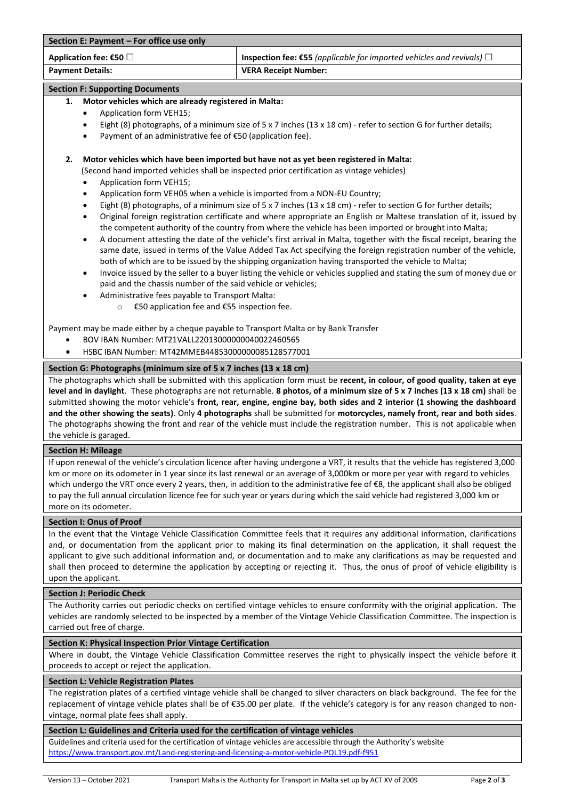| Section E: Payment – For office use only |                                                                                                       |  |  |  |  |
|------------------------------------------|-------------------------------------------------------------------------------------------------------|--|--|--|--|
| Application fee: $\epsilon$ 50 $\Box$    | <b>Inspection fee: <math>\epsilon</math>55</b> (applicable for imported vehicles and revivals) $\Box$ |  |  |  |  |
| <b>Payment Details:</b>                  | <b>VERA Receipt Number:</b>                                                                           |  |  |  |  |

# **Section F: Supporting Documents**

## **1. Motor vehicles which are already registered in Malta:**

- Application form VEH15;
- Eight (8) photographs, of a minimum size of 5 x 7 inches (13 x 18 cm) refer to section G for further details;
- Payment of an administrative fee of €50 (application fee).

# **2. Motor vehicles which have been imported but have not as yet been registered in Malta:**

(Second hand imported vehicles shall be inspected prior certification as vintage vehicles)

- Application form VEH15;
- Application form VEH05 when a vehicle is imported from a NON-EU Country;
- Eight (8) photographs, of a minimum size of 5 x 7 inches (13 x 18 cm) refer to section G for further details;
- Original foreign registration certificate and where appropriate an English or Maltese translation of it, issued by the competent authority of the country from where the vehicle has been imported or brought into Malta;
- A document attesting the date of the vehicle's first arrival in Malta, together with the fiscal receipt, bearing the same date, issued in terms of the Value Added Tax Act specifying the foreign registration number of the vehicle, both of which are to be issued by the shipping organization having transported the vehicle to Malta;
- Invoice issued by the seller to a buyer listing the vehicle or vehicles supplied and stating the sum of money due or paid and the chassis number of the said vehicle or vehicles;
- Administrative fees payable to Transport Malta:
	- o €50 application fee and €55 inspection fee.

Payment may be made either by a cheque payable to Transport Malta or by Bank Transfer

- BOV IBAN Number: MT21VALL22013000000040022460565
- HSBC IBAN Number: MT42MMEB44853000000085128577001

# **Section G: Photographs (minimum size of 5 x 7 inches (13 x 18 cm)**

The photographs which shall be submitted with this application form must be **recent, in colour, of good quality, taken at eye level and in daylight**. These photographs are not returnable. **8 photos, of a minimum size of 5 x 7 inches (13 x 18 cm)** shall be submitted showing the motor vehicle's **front, rear, engine, engine bay, both sides and 2 interior (1 showing the dashboard and the other showing the seats)**. Only **4 photographs** shall be submitted for **motorcycles, namely front, rear and both sides**. The photographs showing the front and rear of the vehicle must include the registration number. This is not applicable when the vehicle is garaged.

## **Section H: Mileage**

If upon renewal of the vehicle's circulation licence after having undergone a VRT, it results that the vehicle has registered 3,000 km or more on its odometer in 1 year since its last renewal or an average of 3,000km or more per year with regard to vehicles which undergo the VRT once every 2 years, then, in addition to the administrative fee of €8, the applicant shall also be obliged to pay the full annual circulation licence fee for such year or years during which the said vehicle had registered 3,000 km or more on its odometer.

## **Section I: Onus of Proof**

In the event that the Vintage Vehicle Classification Committee feels that it requires any additional information, clarifications and, or documentation from the applicant prior to making its final determination on the application, it shall request the applicant to give such additional information and, or documentation and to make any clarifications as may be requested and shall then proceed to determine the application by accepting or rejecting it. Thus, the onus of proof of vehicle eligibility is upon the applicant.

## **Section J: Periodic Check**

The Authority carries out periodic checks on certified vintage vehicles to ensure conformity with the original application. The vehicles are randomly selected to be inspected by a member of the Vintage Vehicle Classification Committee. The inspection is carried out free of charge.

# **Section K: Physical Inspection Prior Vintage Certification**

Where in doubt, the Vintage Vehicle Classification Committee reserves the right to physically inspect the vehicle before it proceeds to accept or reject the application.

## **Section L: Vehicle Registration Plates**

The registration plates of a certified vintage vehicle shall be changed to silver characters on black background. The fee for the replacement of vintage vehicle plates shall be of €35.00 per plate. If the vehicle's category is for any reason changed to nonvintage, normal plate fees shall apply.

# **Section L: Guidelines and Criteria used for the certification of vintage vehicles**

Guidelines and criteria used for the certification of vintage vehicles are accessible through the Authority's website <https://www.transport.gov.mt/Land-registering-and-licensing-a-motor-vehicle-POL19.pdf-f951>